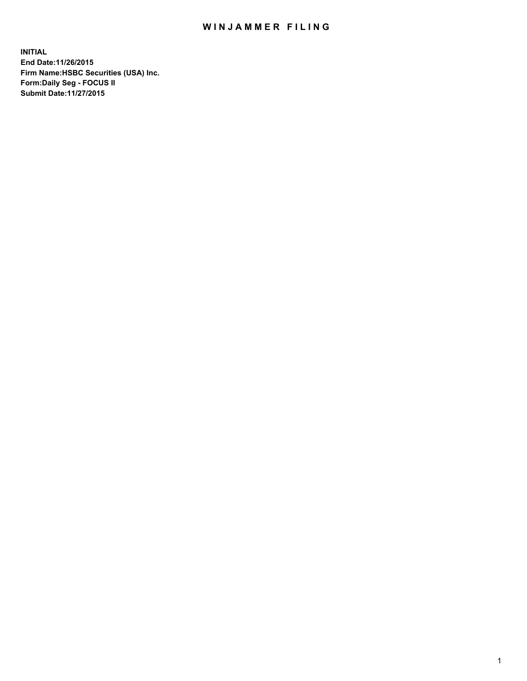## WIN JAMMER FILING

**INITIAL End Date:11/26/2015 Firm Name:HSBC Securities (USA) Inc. Form:Daily Seg - FOCUS II Submit Date:11/27/2015**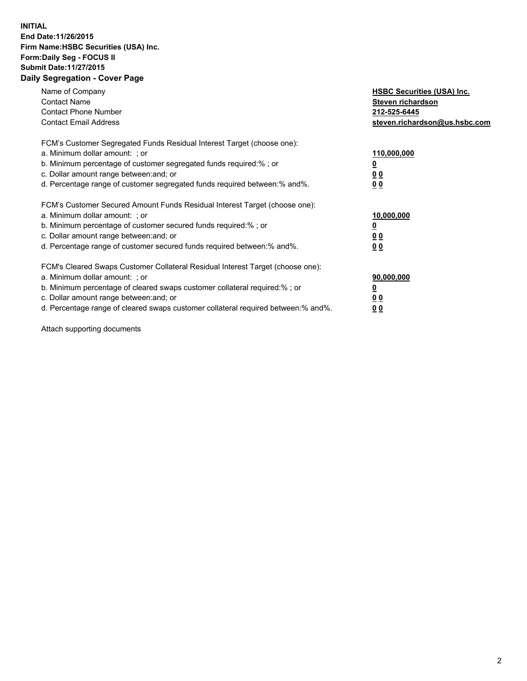## **INITIAL End Date:11/26/2015 Firm Name:HSBC Securities (USA) Inc. Form:Daily Seg - FOCUS II Submit Date:11/27/2015 Daily Segregation - Cover Page**

| Name of Company<br><b>Contact Name</b><br><b>Contact Phone Number</b><br><b>Contact Email Address</b>                                                                                                                                                                                                                          | <b>HSBC Securities (USA) Inc.</b><br>Steven richardson<br>212-525-6445<br>steven.richardson@us.hsbc.com |
|--------------------------------------------------------------------------------------------------------------------------------------------------------------------------------------------------------------------------------------------------------------------------------------------------------------------------------|---------------------------------------------------------------------------------------------------------|
| FCM's Customer Segregated Funds Residual Interest Target (choose one):<br>a. Minimum dollar amount: ; or<br>b. Minimum percentage of customer segregated funds required:%; or<br>c. Dollar amount range between: and; or<br>d. Percentage range of customer segregated funds required between: % and %.                        | 110,000,000<br><u>0</u><br>0 <sub>0</sub><br>0 <sub>0</sub>                                             |
| FCM's Customer Secured Amount Funds Residual Interest Target (choose one):<br>a. Minimum dollar amount: ; or<br>b. Minimum percentage of customer secured funds required:%; or<br>c. Dollar amount range between: and; or<br>d. Percentage range of customer secured funds required between:% and%.                            | 10,000,000<br><u>0</u><br>0 <sub>0</sub><br>0 <sub>0</sub>                                              |
| FCM's Cleared Swaps Customer Collateral Residual Interest Target (choose one):<br>a. Minimum dollar amount: ; or<br>b. Minimum percentage of cleared swaps customer collateral required:% ; or<br>c. Dollar amount range between: and; or<br>d. Percentage range of cleared swaps customer collateral required between:% and%. | 90,000,000<br>0 <sub>0</sub><br>00                                                                      |

Attach supporting documents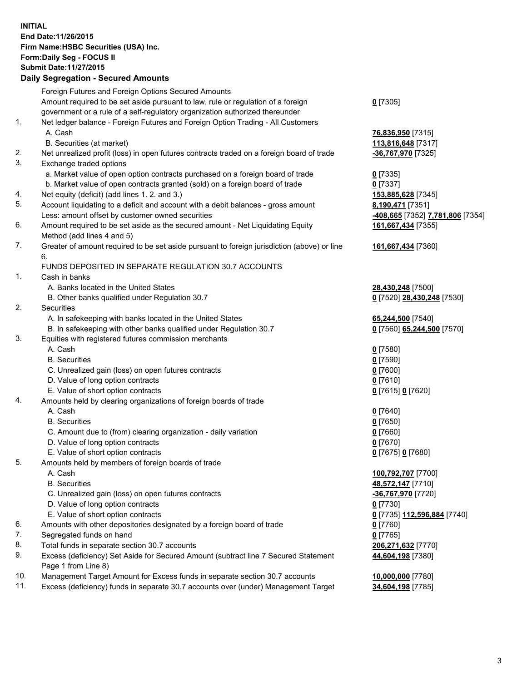**INITIAL End Date:11/26/2015 Firm Name:HSBC Securities (USA) Inc. Form:Daily Seg - FOCUS II Submit Date:11/27/2015**

## **Daily Segregation - Secured Amounts**

|     | Foreign Futures and Foreign Options Secured Amounts                                         |                                  |
|-----|---------------------------------------------------------------------------------------------|----------------------------------|
|     | Amount required to be set aside pursuant to law, rule or regulation of a foreign            | $0$ [7305]                       |
|     | government or a rule of a self-regulatory organization authorized thereunder                |                                  |
| 1.  | Net ledger balance - Foreign Futures and Foreign Option Trading - All Customers             |                                  |
|     | A. Cash                                                                                     | 76,836,950 [7315]                |
|     | B. Securities (at market)                                                                   | 113,816,648 [7317]               |
| 2.  | Net unrealized profit (loss) in open futures contracts traded on a foreign board of trade   | -36,767,970 [7325]               |
| 3.  | Exchange traded options                                                                     |                                  |
|     | a. Market value of open option contracts purchased on a foreign board of trade              | $0$ [7335]                       |
|     | b. Market value of open contracts granted (sold) on a foreign board of trade                | $0$ [7337]                       |
| 4.  | Net equity (deficit) (add lines 1. 2. and 3.)                                               | 153,885,628 [7345]               |
| 5.  | Account liquidating to a deficit and account with a debit balances - gross amount           | 8,190,471 [7351]                 |
|     | Less: amount offset by customer owned securities                                            | -408,665 [7352] 7,781,806 [7354] |
| 6.  | Amount required to be set aside as the secured amount - Net Liquidating Equity              | 161,667,434 [7355]               |
|     | Method (add lines 4 and 5)                                                                  |                                  |
| 7.  | Greater of amount required to be set aside pursuant to foreign jurisdiction (above) or line |                                  |
|     | 6.                                                                                          | 161,667,434 [7360]               |
|     |                                                                                             |                                  |
| 1.  | FUNDS DEPOSITED IN SEPARATE REGULATION 30.7 ACCOUNTS<br>Cash in banks                       |                                  |
|     |                                                                                             |                                  |
|     | A. Banks located in the United States                                                       | 28,430,248 [7500]                |
|     | B. Other banks qualified under Regulation 30.7                                              | 0 [7520] 28,430,248 [7530]       |
| 2.  | Securities                                                                                  |                                  |
|     | A. In safekeeping with banks located in the United States                                   | 65,244,500 [7540]                |
|     | B. In safekeeping with other banks qualified under Regulation 30.7                          | 0 [7560] 65,244,500 [7570]       |
| 3.  | Equities with registered futures commission merchants                                       |                                  |
|     | A. Cash                                                                                     | $0$ [7580]                       |
|     | <b>B.</b> Securities                                                                        | $0$ [7590]                       |
|     | C. Unrealized gain (loss) on open futures contracts                                         | $0$ [7600]                       |
|     | D. Value of long option contracts                                                           | $0$ [7610]                       |
|     | E. Value of short option contracts                                                          | 0 [7615] 0 [7620]                |
| 4.  | Amounts held by clearing organizations of foreign boards of trade                           |                                  |
|     | A. Cash                                                                                     | $0$ [7640]                       |
|     | <b>B.</b> Securities                                                                        | $0$ [7650]                       |
|     | C. Amount due to (from) clearing organization - daily variation                             | $0$ [7660]                       |
|     | D. Value of long option contracts                                                           | $0$ [7670]                       |
|     | E. Value of short option contracts                                                          | 0 [7675] 0 [7680]                |
| 5.  | Amounts held by members of foreign boards of trade                                          |                                  |
|     | A. Cash                                                                                     | 100,792,707 [7700]               |
|     | <b>B.</b> Securities                                                                        | 48,572,147 [7710]                |
|     | C. Unrealized gain (loss) on open futures contracts                                         | -36,767,970 [7720]               |
|     | D. Value of long option contracts                                                           | $0$ [7730]                       |
|     | E. Value of short option contracts                                                          | 0 [7735] 112,596,884 [7740]      |
| 6.  | Amounts with other depositories designated by a foreign board of trade                      | 0 [7760]                         |
| 7.  | Segregated funds on hand                                                                    | $0$ [7765]                       |
| 8.  | Total funds in separate section 30.7 accounts                                               | 206,271,632 [7770]               |
| 9.  | Excess (deficiency) Set Aside for Secured Amount (subtract line 7 Secured Statement         | 44,604,198 [7380]                |
|     | Page 1 from Line 8)                                                                         |                                  |
| 10. | Management Target Amount for Excess funds in separate section 30.7 accounts                 | 10,000,000 [7780]                |
| 11. | Excess (deficiency) funds in separate 30.7 accounts over (under) Management Target          | 34,604,198 [7785]                |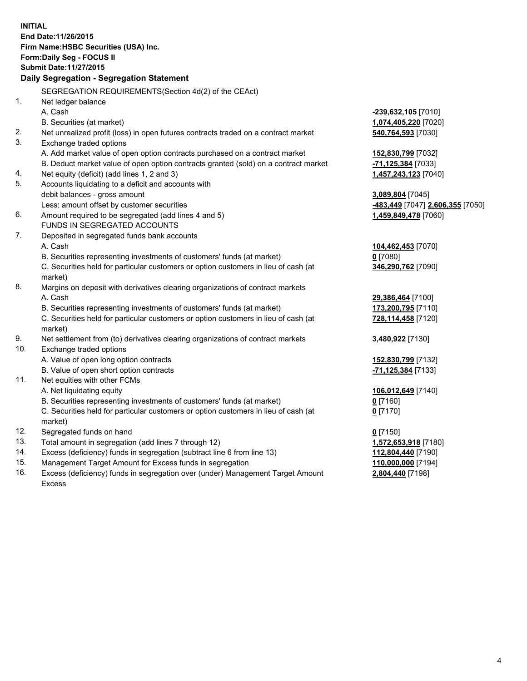**INITIAL End Date:11/26/2015 Firm Name:HSBC Securities (USA) Inc. Form:Daily Seg - FOCUS II Submit Date:11/27/2015 Daily Segregation - Segregation Statement** SEGREGATION REQUIREMENTS(Section 4d(2) of the CEAct) 1. Net ledger balance A. Cash **-239,632,105** [7010] B. Securities (at market) **1,074,405,220** [7020] 2. Net unrealized profit (loss) in open futures contracts traded on a contract market **540,764,593** [7030] 3. Exchange traded options A. Add market value of open option contracts purchased on a contract market **152,830,799** [7032] B. Deduct market value of open option contracts granted (sold) on a contract market **-71,125,384** [7033] 4. Net equity (deficit) (add lines 1, 2 and 3) **1,457,243,123** [7040] 5. Accounts liquidating to a deficit and accounts with debit balances - gross amount **3,089,804** [7045] Less: amount offset by customer securities **-483,449** [7047] **2,606,355** [7050] 6. Amount required to be segregated (add lines 4 and 5) **1,459,849,478** [7060] FUNDS IN SEGREGATED ACCOUNTS 7. Deposited in segregated funds bank accounts A. Cash **104,462,453** [7070] B. Securities representing investments of customers' funds (at market) **0** [7080] C. Securities held for particular customers or option customers in lieu of cash (at market) **346,290,762** [7090] 8. Margins on deposit with derivatives clearing organizations of contract markets A. Cash **29,386,464** [7100] B. Securities representing investments of customers' funds (at market) **173,200,795** [7110] C. Securities held for particular customers or option customers in lieu of cash (at market) **728,114,458** [7120] 9. Net settlement from (to) derivatives clearing organizations of contract markets **3,480,922** [7130] 10. Exchange traded options A. Value of open long option contracts **152,830,799** [7132] B. Value of open short option contracts **-71,125,384** [7133] 11. Net equities with other FCMs A. Net liquidating equity **106,012,649** [7140] B. Securities representing investments of customers' funds (at market) **0** [7160] C. Securities held for particular customers or option customers in lieu of cash (at market) **0** [7170] 12. Segregated funds on hand **0** [7150] 13. Total amount in segregation (add lines 7 through 12) **1,572,653,918** [7180] 14. Excess (deficiency) funds in segregation (subtract line 6 from line 13) **112,804,440** [7190] 15. Management Target Amount for Excess funds in segregation **110,000,000** [7194]

16. Excess (deficiency) funds in segregation over (under) Management Target Amount Excess

**2,804,440** [7198]